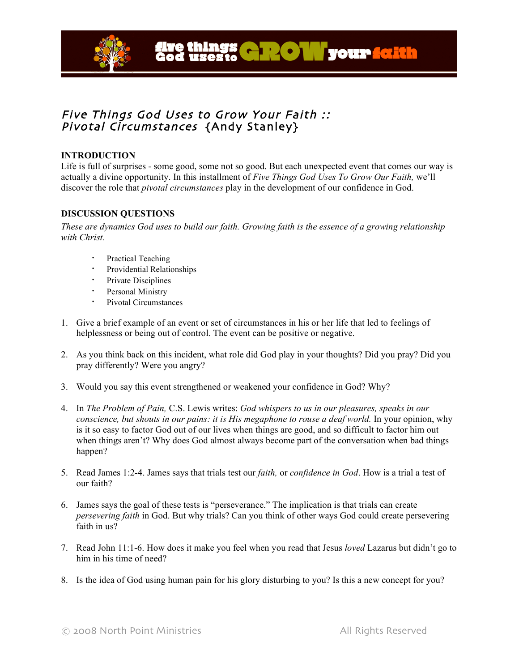

# Five Things God Uses to Grow Your Faith :: Pivotal Circumstances {Andy Stanley}

## **INTRODUCTION**

Life is full of surprises - some good, some not so good. But each unexpected event that comes our way is actually a divine opportunity. In this installment of *Five Things God Uses To Grow Our Faith,* we'll discover the role that *pivotal circumstances* play in the development of our confidence in God.

### **DISCUSSION QUESTIONS**

These are dynamics God uses to build our faith. Growing faith is the essence of a growing relationship *with Christ.*

- **•** Practical Teaching
- Providential Relationships
- **·** Private Disciplines
- **·** Personal Ministry
- Pivotal Circumstances
- 1. Give a brief example of an event or set of circumstances in his or her life that led to feelings of helplessness or being out of control. The event can be positive or negative.
- 2. As you think back on this incident, what role did God play in your thoughts? Did you pray? Did you pray differently? Were you angry?
- 3. Would you say this event strengthened or weakened your confidence in God? Why?
- 4. In *The Problem of Pain,* C.S. Lewis writes: *God whispers to us in our pleasures, speaks in our conscience, but shouts in our pains: it is His megaphone to rouse a deaf world.* In your opinion, why is it so easy to factor God out of our lives when things are good, and so difficult to factor him out when things aren't? Why does God almost always become part of the conversation when bad things happen?
- 5. Read James 1:2-4. James says that trials test our *faith,* or *confidence in God*. How is a trial a test of our faith?
- 6. James says the goal of these tests is "perseverance." The implication is that trials can create *persevering faith* in God. But why trials? Can you think of other ways God could create persevering faith in us?
- 7. Read John 11:1-6. How does it make you feel when you read that Jesus *loved* Lazarus but didn't go to him in his time of need?
- 8. Is the idea of God using human pain for his glory disturbing to you? Is this a new concept for you?